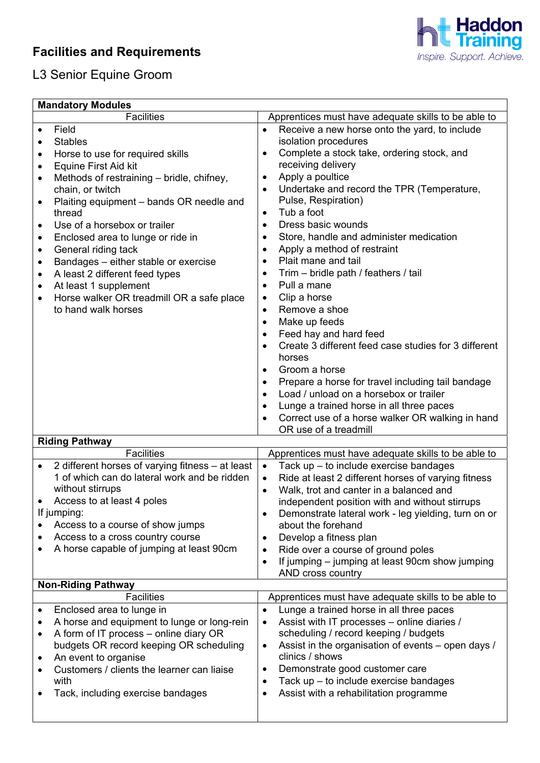## **Facilities and Requirements**



## L3 Senior Equine Groom

| <b>Mandatory Modules</b>                                                                                                                                                                                                                                                                                                                                                                                                                                                                                                                                                                              |                                                                                                                                                                                                                                                                                                                                                                                                                                                                                                                                                                                                                                                                                                                                                                                                                                                                                                                                                                                                                                                                  |  |  |
|-------------------------------------------------------------------------------------------------------------------------------------------------------------------------------------------------------------------------------------------------------------------------------------------------------------------------------------------------------------------------------------------------------------------------------------------------------------------------------------------------------------------------------------------------------------------------------------------------------|------------------------------------------------------------------------------------------------------------------------------------------------------------------------------------------------------------------------------------------------------------------------------------------------------------------------------------------------------------------------------------------------------------------------------------------------------------------------------------------------------------------------------------------------------------------------------------------------------------------------------------------------------------------------------------------------------------------------------------------------------------------------------------------------------------------------------------------------------------------------------------------------------------------------------------------------------------------------------------------------------------------------------------------------------------------|--|--|
| <b>Facilities</b>                                                                                                                                                                                                                                                                                                                                                                                                                                                                                                                                                                                     | Apprentices must have adequate skills to be able to                                                                                                                                                                                                                                                                                                                                                                                                                                                                                                                                                                                                                                                                                                                                                                                                                                                                                                                                                                                                              |  |  |
| Field<br>$\bullet$<br><b>Stables</b><br>$\bullet$<br>Horse to use for required skills<br>٠<br><b>Equine First Aid kit</b><br>٠<br>Methods of restraining - bridle, chifney,<br>٠<br>chain, or twitch<br>Plaiting equipment - bands OR needle and<br>$\bullet$<br>thread<br>Use of a horsebox or trailer<br>٠<br>Enclosed area to lunge or ride in<br>٠<br>General riding tack<br>$\bullet$<br>Bandages - either stable or exercise<br>$\bullet$<br>A least 2 different feed types<br>٠<br>At least 1 supplement<br>٠<br>Horse walker OR treadmill OR a safe place<br>$\bullet$<br>to hand walk horses | Receive a new horse onto the yard, to include<br>$\bullet$<br>isolation procedures<br>Complete a stock take, ordering stock, and<br>$\bullet$<br>receiving delivery<br>Apply a poultice<br>$\bullet$<br>Undertake and record the TPR (Temperature,<br>$\bullet$<br>Pulse, Respiration)<br>Tub a foot<br>$\bullet$<br>Dress basic wounds<br>$\bullet$<br>Store, handle and administer medication<br>$\bullet$<br>Apply a method of restraint<br>$\bullet$<br>Plait mane and tail<br>$\bullet$<br>Trim - bridle path / feathers / tail<br>$\bullet$<br>Pull a mane<br>$\bullet$<br>Clip a horse<br>$\bullet$<br>Remove a shoe<br>$\bullet$<br>Make up feeds<br>$\bullet$<br>Feed hay and hard feed<br>$\bullet$<br>Create 3 different feed case studies for 3 different<br>horses<br>Groom a horse<br>$\bullet$<br>Prepare a horse for travel including tail bandage<br>$\bullet$<br>Load / unload on a horsebox or trailer<br>$\bullet$<br>Lunge a trained horse in all three paces<br>$\bullet$<br>Correct use of a horse walker OR walking in hand<br>$\bullet$ |  |  |
| OR use of a treadmill<br><b>Riding Pathway</b>                                                                                                                                                                                                                                                                                                                                                                                                                                                                                                                                                        |                                                                                                                                                                                                                                                                                                                                                                                                                                                                                                                                                                                                                                                                                                                                                                                                                                                                                                                                                                                                                                                                  |  |  |
| <b>Facilities</b>                                                                                                                                                                                                                                                                                                                                                                                                                                                                                                                                                                                     | Apprentices must have adequate skills to be able to                                                                                                                                                                                                                                                                                                                                                                                                                                                                                                                                                                                                                                                                                                                                                                                                                                                                                                                                                                                                              |  |  |
| 2 different horses of varying fitness - at least<br>$\bullet$<br>1 of which can do lateral work and be ridden<br>without stirrups<br>Access to at least 4 poles<br>If jumping:<br>Access to a course of show jumps<br>Access to a cross country course<br>A horse capable of jumping at least 90cm<br>٠                                                                                                                                                                                                                                                                                               | Tack up - to include exercise bandages<br>$\bullet$<br>Ride at least 2 different horses of varying fitness<br>$\bullet$<br>Walk, trot and canter in a balanced and<br>$\bullet$<br>independent position with and without stirrups<br>Demonstrate lateral work - leg yielding, turn on or<br>$\bullet$<br>about the forehand<br>Develop a fitness plan<br>$\bullet$<br>Ride over a course of ground poles<br>$\bullet$<br>If jumping – jumping at least 90cm show jumping<br>$\bullet$<br>AND cross country                                                                                                                                                                                                                                                                                                                                                                                                                                                                                                                                                       |  |  |
| <b>Non-Riding Pathway</b>                                                                                                                                                                                                                                                                                                                                                                                                                                                                                                                                                                             |                                                                                                                                                                                                                                                                                                                                                                                                                                                                                                                                                                                                                                                                                                                                                                                                                                                                                                                                                                                                                                                                  |  |  |
| <b>Facilities</b><br>Enclosed area to lunge in<br>A horse and equipment to lunge or long-rein<br>٠<br>A form of IT process - online diary OR<br>$\bullet$<br>budgets OR record keeping OR scheduling<br>An event to organise<br>$\bullet$<br>Customers / clients the learner can liaise<br>٠<br>with<br>Tack, including exercise bandages<br>٠                                                                                                                                                                                                                                                        | Apprentices must have adequate skills to be able to<br>Lunge a trained horse in all three paces<br>$\bullet$<br>Assist with IT processes - online diaries /<br>$\bullet$<br>scheduling / record keeping / budgets<br>Assist in the organisation of events – open days /<br>$\bullet$<br>clinics / shows<br>Demonstrate good customer care<br>$\bullet$<br>Tack up - to include exercise bandages<br>$\bullet$<br>Assist with a rehabilitation programme<br>$\bullet$                                                                                                                                                                                                                                                                                                                                                                                                                                                                                                                                                                                             |  |  |